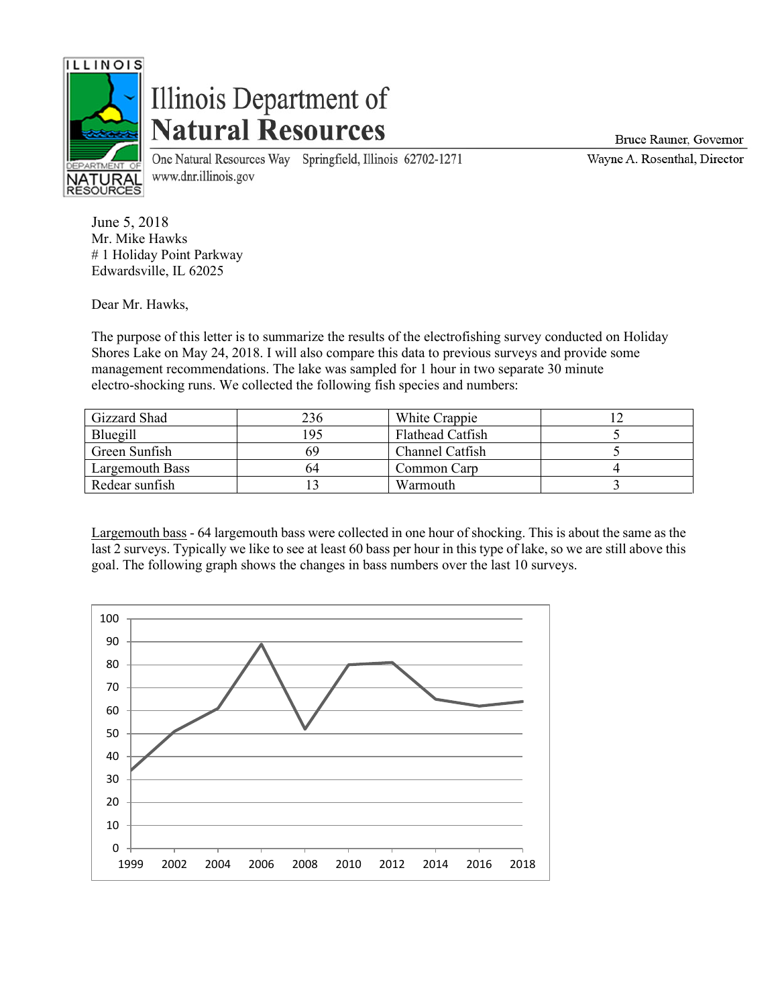

## Illinois Department of **Natural Resources**

One Natural Resources Way Springfield, Illinois 62702-1271 www.dnr.illinois.gov

Bruce Rauner, Governor

Wayne A. Rosenthal, Director

June 5, 2018 Mr. Mike Hawks # 1 Holiday Point Parkway Edwardsville, IL 62025

Dear Mr. Hawks,

The purpose of this letter is to summarize the results of the electrofishing survey conducted on Holiday Shores Lake on May 24, 2018. I will also compare this data to previous surveys and provide some management recommendations. The lake was sampled for 1 hour in two separate 30 minute electro-shocking runs. We collected the following fish species and numbers:

| Gizzard Shad    | 236 | White Crappie    |  |
|-----------------|-----|------------------|--|
| Bluegill        | 195 | Flathead Catfish |  |
| Green Sunfish   | 69  | Channel Catfish  |  |
| Largemouth Bass | 64  | Common Carp      |  |
| Redear sunfish  |     | Warmouth         |  |

Largemouth bass - 64 largemouth bass were collected in one hour of shocking. This is about the same as the last 2 surveys. Typically we like to see at least 60 bass per hour in this type of lake, so we are still above this goal. The following graph shows the changes in bass numbers over the last 10 surveys.